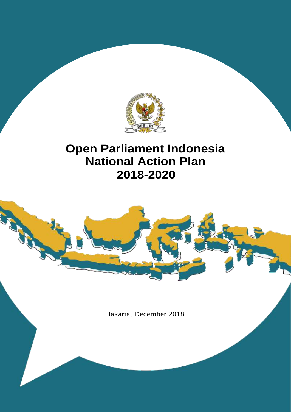

## **Open Parliament Indonesia National Action Plan 2018-2020**

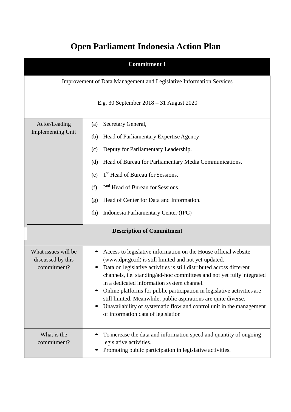## **Open Parliament Indonesia Action Plan**

|                                                                                                                                                                                                                                                                                                                                                                                                                                                         | <b>Commitment 1</b>                                                                                                                                                                                                                                                                                                                                                                                                                                                                                                                                                                  |  |  |  |  |
|---------------------------------------------------------------------------------------------------------------------------------------------------------------------------------------------------------------------------------------------------------------------------------------------------------------------------------------------------------------------------------------------------------------------------------------------------------|--------------------------------------------------------------------------------------------------------------------------------------------------------------------------------------------------------------------------------------------------------------------------------------------------------------------------------------------------------------------------------------------------------------------------------------------------------------------------------------------------------------------------------------------------------------------------------------|--|--|--|--|
|                                                                                                                                                                                                                                                                                                                                                                                                                                                         | Improvement of Data Management and Legislative Information Services                                                                                                                                                                                                                                                                                                                                                                                                                                                                                                                  |  |  |  |  |
|                                                                                                                                                                                                                                                                                                                                                                                                                                                         | E.g. 30 September $2018 - 31$ August 2020                                                                                                                                                                                                                                                                                                                                                                                                                                                                                                                                            |  |  |  |  |
| Actor/Leading<br>Secretary General,<br>(a)<br><b>Implementing Unit</b><br>Head of Parliamentary Expertise Agency<br>(b)<br>Deputy for Parliamentary Leadership.<br>(c)<br>Head of Bureau for Parliamentary Media Communications.<br>(d)<br>1 <sup>st</sup> Head of Bureau for Sessions.<br>(e)<br>2 <sup>nd</sup> Head of Bureau for Sessions.<br>(f)<br>Head of Center for Data and Information.<br>(g)<br>Indonesia Parliamentary Center (IPC)<br>(h) |                                                                                                                                                                                                                                                                                                                                                                                                                                                                                                                                                                                      |  |  |  |  |
|                                                                                                                                                                                                                                                                                                                                                                                                                                                         | <b>Description of Commitment</b>                                                                                                                                                                                                                                                                                                                                                                                                                                                                                                                                                     |  |  |  |  |
| What issues will be<br>discussed by this<br>commitment?                                                                                                                                                                                                                                                                                                                                                                                                 | Access to legislative information on the House official website<br>(www.dpr.go.id) is still limited and not yet updated.<br>Data on legislative activities is still distributed across different<br>channels, i.e. standing/ad-hoc committees and not yet fully integrated<br>in a dedicated information system channel.<br>Online platforms for public participation in legislative activities are<br>still limited. Meanwhile, public aspirations are quite diverse.<br>Unavailability of systematic flow and control unit in the management<br>of information data of legislation |  |  |  |  |
| What is the<br>commitment?                                                                                                                                                                                                                                                                                                                                                                                                                              | To increase the data and information speed and quantity of ongoing<br>legislative activities.<br>Promoting public participation in legislative activities.                                                                                                                                                                                                                                                                                                                                                                                                                           |  |  |  |  |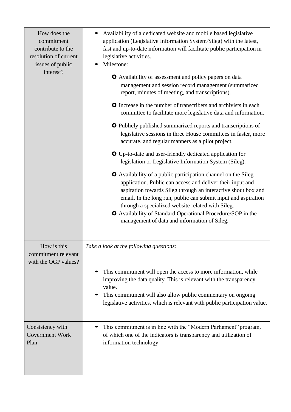| How does the<br>commitment<br>contribute to the<br>resolution of current<br>issues of public<br>interest? | Availability of a dedicated website and mobile based legislative<br>application (Legislative Information System/Sileg) with the latest,<br>fast and up-to-date information will facilitate public participation in<br>legislative activities.<br>Milestone:<br>O Availability of assessment and policy papers on data<br>management and session record management (summarized<br>report, minutes of meeting, and transcriptions).<br><b>O</b> Increase in the number of transcribers and archivists in each<br>committee to facilitate more legislative data and information.<br><b>O</b> Publicly published summarized reports and transcriptions of<br>legislative sessions in three House committees in faster, more<br>accurate, and regular manners as a pilot project.<br><b>O</b> Up-to-date and user-friendly dedicated application for<br>legislation or Legislative Information System (Sileg).<br><b>O</b> Availability of a public participation channel on the Sileg<br>application. Public can access and deliver their input and<br>aspiration towards Sileg through an interactive shout box and<br>email. In the long run, public can submit input and aspiration<br>through a specialized website related with Sileg.<br><b>O</b> Availability of Standard Operational Procedure/SOP in the<br>management of data and information of Sileg. |
|-----------------------------------------------------------------------------------------------------------|---------------------------------------------------------------------------------------------------------------------------------------------------------------------------------------------------------------------------------------------------------------------------------------------------------------------------------------------------------------------------------------------------------------------------------------------------------------------------------------------------------------------------------------------------------------------------------------------------------------------------------------------------------------------------------------------------------------------------------------------------------------------------------------------------------------------------------------------------------------------------------------------------------------------------------------------------------------------------------------------------------------------------------------------------------------------------------------------------------------------------------------------------------------------------------------------------------------------------------------------------------------------------------------------------------------------------------------------------------------|
| How is this<br>commitment relevant<br>with the OGP values?                                                | Take a look at the following questions:<br>This commitment will open the access to more information, while<br>improving the data quality. This is relevant with the transparency<br>value.<br>This commitment will also allow public commentary on ongoing<br>legislative activities, which is relevant with public participation value.                                                                                                                                                                                                                                                                                                                                                                                                                                                                                                                                                                                                                                                                                                                                                                                                                                                                                                                                                                                                                      |
| Consistency with<br><b>Government Work</b><br>Plan                                                        | This commitment is in line with the "Modern Parliament" program,<br>of which one of the indicators is transparency and utilization of<br>information technology                                                                                                                                                                                                                                                                                                                                                                                                                                                                                                                                                                                                                                                                                                                                                                                                                                                                                                                                                                                                                                                                                                                                                                                               |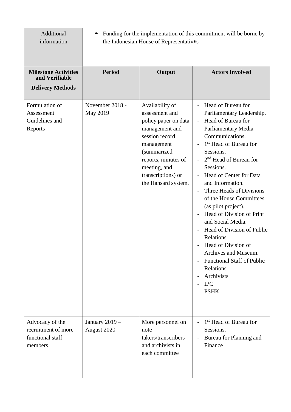| Additional<br>information                                                | Funding for the implementation of this commitment will be borne by<br>the Indonesian House of Representatives |                                                                                                                                                                                                                |                                                                                                                                                                                                                                                                                                                                                                                                                                                                                                                                                                                                     |
|--------------------------------------------------------------------------|---------------------------------------------------------------------------------------------------------------|----------------------------------------------------------------------------------------------------------------------------------------------------------------------------------------------------------------|-----------------------------------------------------------------------------------------------------------------------------------------------------------------------------------------------------------------------------------------------------------------------------------------------------------------------------------------------------------------------------------------------------------------------------------------------------------------------------------------------------------------------------------------------------------------------------------------------------|
| <b>Milestone Activities</b><br>and Verifiable<br><b>Delivery Methods</b> | <b>Period</b>                                                                                                 | Output                                                                                                                                                                                                         | <b>Actors Involved</b>                                                                                                                                                                                                                                                                                                                                                                                                                                                                                                                                                                              |
| Formulation of<br>Assessment<br>Guidelines and<br>Reports                | November 2018 -<br>May 2019                                                                                   | Availability of<br>assessment and<br>policy paper on data<br>management and<br>session record<br>management<br>(summarized<br>reports, minutes of<br>meeting, and<br>transcriptions) or<br>the Hansard system. | Head of Bureau for<br>$\blacksquare$<br>Parliamentary Leadership.<br>Head of Bureau for<br>Parliamentary Media<br>Communications.<br>1 <sup>st</sup> Head of Bureau for<br>Sessions.<br>$2nd$ Head of Bureau for<br>Sessions.<br>Head of Center for Data<br>and Information.<br>Three Heads of Divisions<br>of the House Committees<br>(as pilot project).<br>Head of Division of Print<br>and Social Media.<br>Head of Division of Public<br>Relations.<br>Head of Division of<br>Archives and Museum.<br><b>Functional Staff of Public</b><br>Relations<br>Archivists<br>$\rm IPC$<br><b>PSHK</b> |
| Advocacy of the<br>recruitment of more<br>functional staff<br>members.   | January 2019 -<br>August 2020                                                                                 | More personnel on<br>note<br>takers/transcribers<br>and archivists in<br>each committee                                                                                                                        | 1 <sup>st</sup> Head of Bureau for<br>Sessions.<br>Bureau for Planning and<br>Finance                                                                                                                                                                                                                                                                                                                                                                                                                                                                                                               |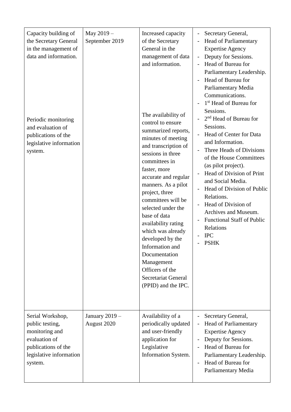| Capacity building of<br>the Secretary General<br>in the management of<br>data and information.<br>Periodic monitoring<br>and evaluation of<br>publications of the<br>legislative information<br>system. | May 2019-<br>September 2019   | Increased capacity<br>of the Secretary<br>General in the<br>management of data<br>and information.<br>The availability of<br>control to ensure<br>summarized reports,<br>minutes of meeting<br>and transcription of<br>sessions in three<br>committees in<br>faster, more<br>accurate and regular<br>manners. As a pilot<br>project, three<br>committees will be<br>selected under the<br>base of data<br>availability rating<br>which was already<br>developed by the<br>Information and<br>Documentation<br>Management<br>Officers of the<br><b>Secretariat General</b><br>(PPID) and the IPC. | Secretary General,<br><b>Head of Parliamentary</b><br><b>Expertise Agency</b><br>Deputy for Sessions.<br>$\overline{\phantom{a}}$<br>Head of Bureau for<br>Parliamentary Leadership.<br>Head of Bureau for<br>Parliamentary Media<br>Communications.<br>1 <sup>st</sup> Head of Bureau for<br>Sessions.<br>2 <sup>nd</sup> Head of Bureau for<br>Sessions.<br>Head of Center for Data<br>and Information.<br>Three Heads of Divisions<br>of the House Committees<br>(as pilot project).<br>Head of Division of Print<br>and Social Media.<br>Head of Division of Public<br>Relations.<br>Head of Division of<br>Archives and Museum.<br><b>Functional Staff of Public</b><br>Relations<br><b>IPC</b><br><b>PSHK</b> |
|---------------------------------------------------------------------------------------------------------------------------------------------------------------------------------------------------------|-------------------------------|--------------------------------------------------------------------------------------------------------------------------------------------------------------------------------------------------------------------------------------------------------------------------------------------------------------------------------------------------------------------------------------------------------------------------------------------------------------------------------------------------------------------------------------------------------------------------------------------------|---------------------------------------------------------------------------------------------------------------------------------------------------------------------------------------------------------------------------------------------------------------------------------------------------------------------------------------------------------------------------------------------------------------------------------------------------------------------------------------------------------------------------------------------------------------------------------------------------------------------------------------------------------------------------------------------------------------------|
| Serial Workshop,<br>public testing,<br>monitoring and<br>evaluation of<br>publications of the<br>legislative information<br>system.                                                                     | January 2019 -<br>August 2020 | Availability of a<br>periodically updated<br>and user-friendly<br>application for<br>Legislative<br>Information System.                                                                                                                                                                                                                                                                                                                                                                                                                                                                          | Secretary General,<br><b>Head of Parliamentary</b><br><b>Expertise Agency</b><br>Deputy for Sessions.<br>Head of Bureau for<br>Parliamentary Leadership.<br>Head of Bureau for<br>Parliamentary Media                                                                                                                                                                                                                                                                                                                                                                                                                                                                                                               |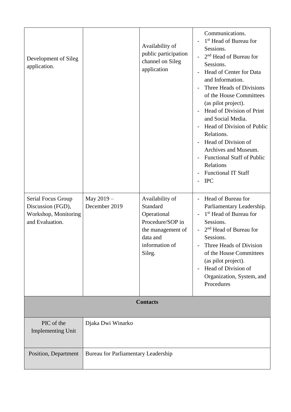| Development of Sileg<br>application.<br>Serial Focus Group   | May 2019 -                                 | Availability of<br>public participation<br>channel on Sileg<br>application<br>Availability of            | Communications.<br>1 <sup>st</sup> Head of Bureau for<br>L,<br>Sessions.<br>2 <sup>nd</sup> Head of Bureau for<br>$\overline{a}$<br>Sessions.<br>Head of Center for Data<br>and Information.<br>Three Heads of Divisions<br>of the House Committees<br>(as pilot project).<br>Head of Division of Print<br>$\overline{a}$<br>and Social Media.<br>Head of Division of Public<br>Relations.<br>Head of Division of<br>Archives and Museum.<br><b>Functional Staff of Public</b><br>$\overline{a}$<br>Relations<br><b>Functional IT Staff</b><br><b>IPC</b><br>Head of Bureau for<br>$\overline{a}$ |
|--------------------------------------------------------------|--------------------------------------------|----------------------------------------------------------------------------------------------------------|---------------------------------------------------------------------------------------------------------------------------------------------------------------------------------------------------------------------------------------------------------------------------------------------------------------------------------------------------------------------------------------------------------------------------------------------------------------------------------------------------------------------------------------------------------------------------------------------------|
| Discussion (FGD),<br>Workshop, Monitoring<br>and Evaluation. | December 2019                              | Standard<br>Operational<br>Procedure/SOP in<br>the management of<br>data and<br>information of<br>Sileg. | Parliamentary Leadership.<br>1 <sup>st</sup> Head of Bureau for<br>$\overline{a}$<br>Sessions.<br>2 <sup>nd</sup> Head of Bureau for<br>$\overline{a}$<br>Sessions.<br>Three Heads of Division<br>of the House Committees<br>(as pilot project).<br>Head of Division of<br>$\overline{a}$<br>Organization, System, and<br>Procedures                                                                                                                                                                                                                                                              |
| <b>Contacts</b>                                              |                                            |                                                                                                          |                                                                                                                                                                                                                                                                                                                                                                                                                                                                                                                                                                                                   |
| PIC of the<br><b>Implementing Unit</b>                       | Djaka Dwi Winarko                          |                                                                                                          |                                                                                                                                                                                                                                                                                                                                                                                                                                                                                                                                                                                                   |
| Position, Department                                         | <b>Bureau for Parliamentary Leadership</b> |                                                                                                          |                                                                                                                                                                                                                                                                                                                                                                                                                                                                                                                                                                                                   |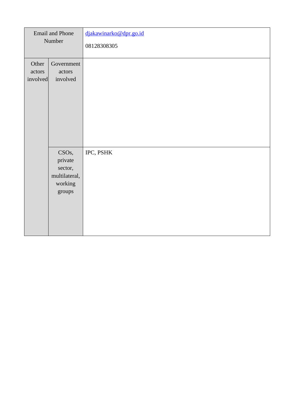|          | <b>Email and Phone</b><br>Number | djakawinarko@dpr.go.id<br>08128308305 |
|----------|----------------------------------|---------------------------------------|
|          |                                  |                                       |
| Other    | Government                       |                                       |
| actors   | actors                           |                                       |
| involved | involved                         |                                       |
|          |                                  |                                       |
|          |                                  |                                       |
|          |                                  |                                       |
|          |                                  |                                       |
|          |                                  |                                       |
|          |                                  |                                       |
|          |                                  |                                       |
|          | CSO <sub>s</sub> ,               | IPC, PSHK                             |
|          | private                          |                                       |
|          | sector,                          |                                       |
|          | multilateral,                    |                                       |
|          | working                          |                                       |
|          | groups                           |                                       |
|          |                                  |                                       |
|          |                                  |                                       |
|          |                                  |                                       |
|          |                                  |                                       |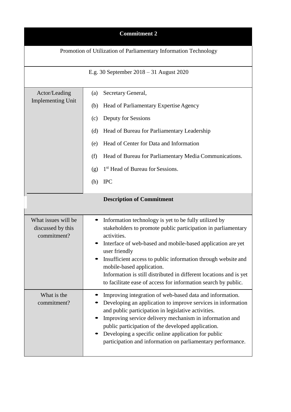| <b>Commitment 2</b>                                              |                                                                                                                                                                                                                                                                                                                                                                                                                                                             |  |  |  |
|------------------------------------------------------------------|-------------------------------------------------------------------------------------------------------------------------------------------------------------------------------------------------------------------------------------------------------------------------------------------------------------------------------------------------------------------------------------------------------------------------------------------------------------|--|--|--|
| Promotion of Utilization of Parliamentary Information Technology |                                                                                                                                                                                                                                                                                                                                                                                                                                                             |  |  |  |
|                                                                  | E.g. 30 September $2018 - 31$ August 2020                                                                                                                                                                                                                                                                                                                                                                                                                   |  |  |  |
| Actor/Leading<br><b>Implementing Unit</b>                        | Secretary General,<br>(a)<br>Head of Parliamentary Expertise Agency<br>(b)<br>Deputy for Sessions<br>(c)<br>Head of Bureau for Parliamentary Leadership<br>(d)<br>Head of Center for Data and Information<br>(e)<br>Head of Bureau for Parliamentary Media Communications.<br>(f)<br>1 <sup>st</sup> Head of Bureau for Sessions.<br>(g)                                                                                                                    |  |  |  |
|                                                                  | <b>IPC</b><br>(h)                                                                                                                                                                                                                                                                                                                                                                                                                                           |  |  |  |
|                                                                  | <b>Description of Commitment</b>                                                                                                                                                                                                                                                                                                                                                                                                                            |  |  |  |
| What issues will be<br>discussed by this<br>commitment?          | Information technology is yet to be fully utilized by<br>stakeholders to promote public participation in parliamentary<br>activities.<br>Interface of web-based and mobile-based application are yet<br>user friendly<br>Insufficient access to public information through website and<br>mobile-based application.<br>Information is still distributed in different locations and is yet<br>to facilitate ease of access for information search by public. |  |  |  |
| What is the<br>commitment?                                       | Improving integration of web-based data and information.<br>Developing an application to improve services in information<br>and public participation in legislative activities.<br>Improving service delivery mechanism in information and<br>public participation of the developed application.<br>Developing a specific online application for public<br>participation and information on parliamentary performance.                                      |  |  |  |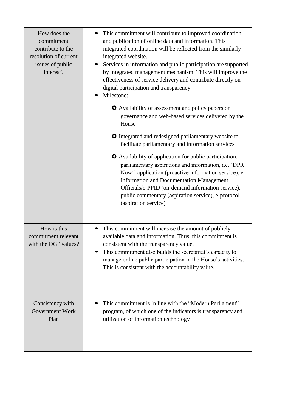| How does the<br>commitment<br>contribute to the<br>resolution of current<br>issues of public<br>interest? | This commitment will contribute to improved coordination<br>and publication of online data and information. This<br>integrated coordination will be reflected from the similarly<br>integrated website.<br>Services in information and public participation are supported<br>by integrated management mechanism. This will improve the<br>effectiveness of service delivery and contribute directly on<br>digital participation and transparency.<br>Milestone: |  |
|-----------------------------------------------------------------------------------------------------------|-----------------------------------------------------------------------------------------------------------------------------------------------------------------------------------------------------------------------------------------------------------------------------------------------------------------------------------------------------------------------------------------------------------------------------------------------------------------|--|
|                                                                                                           | <b>O</b> Availability of assessment and policy papers on<br>governance and web-based services delivered by the<br>House                                                                                                                                                                                                                                                                                                                                         |  |
|                                                                                                           | <b>O</b> Integrated and redesigned parliamentary website to<br>facilitate parliamentary and information services                                                                                                                                                                                                                                                                                                                                                |  |
|                                                                                                           | O Availability of application for public participation,<br>parliamentary aspirations and information, i.e. 'DPR<br>Now!' application (proactive information service), e-<br><b>Information and Documentation Management</b><br>Officials/e-PPID (on-demand information service),<br>public commentary (aspiration service), e-protocol<br>(aspiration service)                                                                                                  |  |
| How is this<br>commitment relevant<br>with the OGP values?                                                | This commitment will increase the amount of publicly<br>available data and information. Thus, this commitment is<br>consistent with the transparency value.<br>This commitment also builds the secretariat's capacity to<br>manage online public participation in the House's activities.<br>This is consistent with the accountability value.                                                                                                                  |  |
| Consistency with<br>Government Work<br>Plan                                                               | This commitment is in line with the "Modern Parliament"<br>program, of which one of the indicators is transparency and<br>utilization of information technology                                                                                                                                                                                                                                                                                                 |  |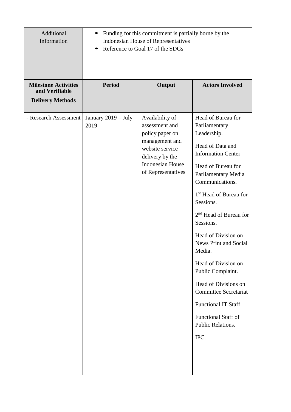| Additional<br>Information                     |                             | Funding for this commitment is partially borne by the<br><b>Indonesian House of Representatives</b><br>Reference to Goal 17 of the SDGs                       |                                                                                                                                                                                                                                                                                                                                                                                                                                                                                                                                         |
|-----------------------------------------------|-----------------------------|---------------------------------------------------------------------------------------------------------------------------------------------------------------|-----------------------------------------------------------------------------------------------------------------------------------------------------------------------------------------------------------------------------------------------------------------------------------------------------------------------------------------------------------------------------------------------------------------------------------------------------------------------------------------------------------------------------------------|
| <b>Milestone Activities</b><br>and Verifiable | <b>Period</b>               | Output                                                                                                                                                        | <b>Actors Involved</b>                                                                                                                                                                                                                                                                                                                                                                                                                                                                                                                  |
| <b>Delivery Methods</b>                       |                             |                                                                                                                                                               |                                                                                                                                                                                                                                                                                                                                                                                                                                                                                                                                         |
| - Research Assessment                         | January 2019 - July<br>2019 | Availability of<br>assessment and<br>policy paper on<br>management and<br>website service<br>delivery by the<br><b>Indonesian House</b><br>of Representatives | Head of Bureau for<br>Parliamentary<br>Leadership.<br>Head of Data and<br><b>Information Center</b><br>Head of Bureau for<br>Parliamentary Media<br>Communications.<br>1 <sup>st</sup> Head of Bureau for<br>Sessions.<br>2 <sup>nd</sup> Head of Bureau for<br>Sessions.<br>Head of Division on<br><b>News Print and Social</b><br>Media.<br>Head of Division on<br>Public Complaint.<br>Head of Divisions on<br><b>Committee Secretariat</b><br><b>Functional IT Staff</b><br><b>Functional Staff of</b><br>Public Relations.<br>IPC. |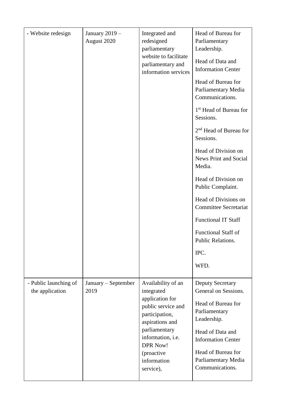| - Website redesign                       | January 2019 -<br>August 2020 | Integrated and<br>redesigned<br>parliamentary<br>website to facilitate<br>parliamentary and<br>information services                                                                                               | Head of Bureau for<br>Parliamentary<br>Leadership.<br>Head of Data and<br><b>Information Center</b><br>Head of Bureau for<br>Parliamentary Media<br>Communications.<br>1 <sup>st</sup> Head of Bureau for<br>Sessions.<br>$2nd$ Head of Bureau for<br>Sessions.<br>Head of Division on<br><b>News Print and Social</b><br>Media.<br>Head of Division on<br>Public Complaint.<br>Head of Divisions on<br><b>Committee Secretariat</b><br><b>Functional IT Staff</b><br><b>Functional Staff of</b><br>Public Relations.<br>IPC.<br>WFD. |
|------------------------------------------|-------------------------------|-------------------------------------------------------------------------------------------------------------------------------------------------------------------------------------------------------------------|---------------------------------------------------------------------------------------------------------------------------------------------------------------------------------------------------------------------------------------------------------------------------------------------------------------------------------------------------------------------------------------------------------------------------------------------------------------------------------------------------------------------------------------|
| - Public launching of<br>the application | January – September<br>2019   | Availability of an<br>integrated<br>application for<br>public service and<br>participation,<br>aspirations and<br>parliamentary<br>information, i.e.<br><b>DPR Now!</b><br>(proactive<br>information<br>service), | <b>Deputy Secretary</b><br>General on Sessions.<br>Head of Bureau for<br>Parliamentary<br>Leadership.<br>Head of Data and<br><b>Information Center</b><br>Head of Bureau for<br>Parliamentary Media<br>Communications.                                                                                                                                                                                                                                                                                                                |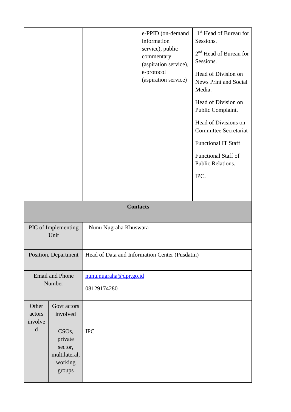|                                                                           |                                                                                |                                                | e-PPID (on-demand<br>information<br>service), public<br>commentary<br>(aspiration service),<br>e-protocol<br>(aspiration service) | 1 <sup>st</sup> Head of Bureau for<br>Sessions.<br>2 <sup>nd</sup> Head of Bureau for<br>Sessions.<br>Head of Division on<br>News Print and Social<br>Media.<br>Head of Division on<br>Public Complaint.<br>Head of Divisions on<br><b>Committee Secretariat</b><br><b>Functional IT Staff</b><br>Functional Staff of<br>Public Relations.<br>IPC. |  |
|---------------------------------------------------------------------------|--------------------------------------------------------------------------------|------------------------------------------------|-----------------------------------------------------------------------------------------------------------------------------------|----------------------------------------------------------------------------------------------------------------------------------------------------------------------------------------------------------------------------------------------------------------------------------------------------------------------------------------------------|--|
|                                                                           |                                                                                | <b>Contacts</b>                                |                                                                                                                                   |                                                                                                                                                                                                                                                                                                                                                    |  |
| PIC of Implementing<br>Unit                                               |                                                                                | - Nunu Nugraha Khuswara                        |                                                                                                                                   |                                                                                                                                                                                                                                                                                                                                                    |  |
|                                                                           | Position, Department                                                           | Head of Data and Information Center (Pusdatin) |                                                                                                                                   |                                                                                                                                                                                                                                                                                                                                                    |  |
| nunu.nugraha@dpr.go.id<br><b>Email and Phone</b><br>Number<br>08129174280 |                                                                                |                                                |                                                                                                                                   |                                                                                                                                                                                                                                                                                                                                                    |  |
| Other<br>actors<br>involve                                                | Govt actors<br>involved                                                        |                                                |                                                                                                                                   |                                                                                                                                                                                                                                                                                                                                                    |  |
| $\mathbf d$                                                               | CSO <sub>s</sub> ,<br>private<br>sector,<br>multilateral,<br>working<br>groups | <b>IPC</b>                                     |                                                                                                                                   |                                                                                                                                                                                                                                                                                                                                                    |  |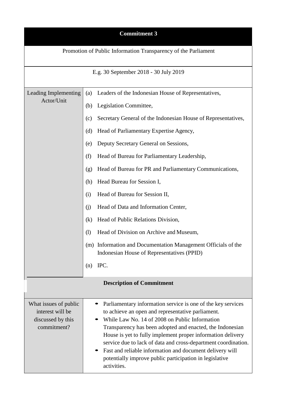| <b>Commitment 3</b>                                                           |                                                                                                                                                                                                                                                                                                                                                                                                                                                                                                                                                                                                                                                   |  |  |
|-------------------------------------------------------------------------------|---------------------------------------------------------------------------------------------------------------------------------------------------------------------------------------------------------------------------------------------------------------------------------------------------------------------------------------------------------------------------------------------------------------------------------------------------------------------------------------------------------------------------------------------------------------------------------------------------------------------------------------------------|--|--|
|                                                                               | Promotion of Public Information Transparency of the Parliament                                                                                                                                                                                                                                                                                                                                                                                                                                                                                                                                                                                    |  |  |
|                                                                               | E.g. 30 September 2018 - 30 July 2019                                                                                                                                                                                                                                                                                                                                                                                                                                                                                                                                                                                                             |  |  |
| Leading Implementing<br>Actor/Unit                                            | Leaders of the Indonesian House of Representatives,<br>(a)<br>Legislation Committee,<br>(b)<br>Secretary General of the Indonesian House of Representatives,<br>(c)<br>Head of Parliamentary Expertise Agency,<br>(d)<br>Deputy Secretary General on Sessions,<br>(e)<br>(f)<br>Head of Bureau for Parliamentary Leadership,<br>Head of Bureau for PR and Parliamentary Communications,<br>(g)<br>Head Bureau for Session I,<br>(h)<br>Head of Bureau for Session II,<br>(i)<br>Head of Data and Information Center,<br>(i)<br>Head of Public Relations Division,<br>(k)<br>Head of Division on Archive and Museum,<br>$\left( \mathrm{l}\right)$ |  |  |
|                                                                               | (m) Information and Documentation Management Officials of the<br>Indonesian House of Representatives (PPID)<br>IPC.<br>(n)                                                                                                                                                                                                                                                                                                                                                                                                                                                                                                                        |  |  |
|                                                                               | <b>Description of Commitment</b>                                                                                                                                                                                                                                                                                                                                                                                                                                                                                                                                                                                                                  |  |  |
| What issues of public<br>interest will be<br>discussed by this<br>commitment? | Parliamentary information service is one of the key services<br>to achieve an open and representative parliament.<br>While Law No. 14 of 2008 on Public Information<br>Transparency has been adopted and enacted, the Indonesian<br>House is yet to fully implement proper information delivery<br>service due to lack of data and cross-department coordination.<br>Fast and reliable information and document delivery will<br>potentially improve public participation in legislative<br>activities.                                                                                                                                           |  |  |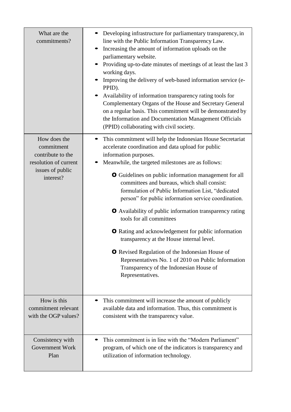| What are the<br>commitments?                                                                              | Developing infrastructure for parliamentary transparency, in<br>line with the Public Information Transparency Law.<br>Increasing the amount of information uploads on the<br>parliamentary website.<br>Providing up-to-date minutes of meetings of at least the last 3<br>working days.<br>Improving the delivery of web-based information service (e-<br>PPID).<br>Availability of information transparency rating tools for<br>Complementary Organs of the House and Secretary General<br>on a regular basis. This commitment will be demonstrated by<br>the Information and Documentation Management Officials<br>(PPID) collaborating with civil society.                                                                                                                                                           |
|-----------------------------------------------------------------------------------------------------------|-------------------------------------------------------------------------------------------------------------------------------------------------------------------------------------------------------------------------------------------------------------------------------------------------------------------------------------------------------------------------------------------------------------------------------------------------------------------------------------------------------------------------------------------------------------------------------------------------------------------------------------------------------------------------------------------------------------------------------------------------------------------------------------------------------------------------|
| How does the<br>commitment<br>contribute to the<br>resolution of current<br>issues of public<br>interest? | This commitment will help the Indonesian House Secretariat<br>accelerate coordination and data upload for public<br>information purposes.<br>Meanwhile, the targeted milestones are as follows:<br><b>O</b> Guidelines on public information management for all<br>committees and bureaus, which shall consist:<br>formulation of Public Information List, "dedicated<br>person" for public information service coordination.<br><b>O</b> Availability of public information transparency rating<br>tools for all committees<br><b>O</b> Rating and acknowledgement for public information<br>transparency at the House internal level.<br><b>O</b> Revised Regulation of the Indonesian House of<br>Representatives No. 1 of 2010 on Public Information<br>Transparency of the Indonesian House of<br>Representatives. |
| How is this                                                                                               | This commitment will increase the amount of publicly                                                                                                                                                                                                                                                                                                                                                                                                                                                                                                                                                                                                                                                                                                                                                                    |
| commitment relevant                                                                                       | available data and information. Thus, this commitment is                                                                                                                                                                                                                                                                                                                                                                                                                                                                                                                                                                                                                                                                                                                                                                |
| with the OGP values?                                                                                      | consistent with the transparency value.                                                                                                                                                                                                                                                                                                                                                                                                                                                                                                                                                                                                                                                                                                                                                                                 |
| Consistency with                                                                                          | This commitment is in line with the "Modern Parliament"                                                                                                                                                                                                                                                                                                                                                                                                                                                                                                                                                                                                                                                                                                                                                                 |
| Government Work                                                                                           | program, of which one of the indicators is transparency and                                                                                                                                                                                                                                                                                                                                                                                                                                                                                                                                                                                                                                                                                                                                                             |
| Plan                                                                                                      | utilization of information technology.                                                                                                                                                                                                                                                                                                                                                                                                                                                                                                                                                                                                                                                                                                                                                                                  |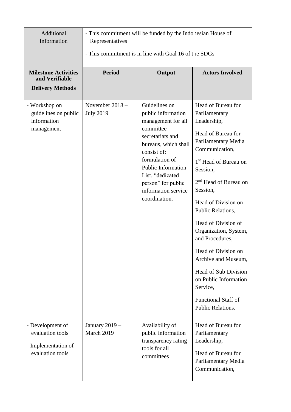| Additional<br>Information                                                       | - This commitment will be funded by the Indo resian House of<br>Representatives<br>- This commitment is in line with Goal 16 of t is SDGs |                                                                                                                                                                                                                                                                    |                                                                                                                                                                                                                                                                                                                                                                                                                                                                                                  |
|---------------------------------------------------------------------------------|-------------------------------------------------------------------------------------------------------------------------------------------|--------------------------------------------------------------------------------------------------------------------------------------------------------------------------------------------------------------------------------------------------------------------|--------------------------------------------------------------------------------------------------------------------------------------------------------------------------------------------------------------------------------------------------------------------------------------------------------------------------------------------------------------------------------------------------------------------------------------------------------------------------------------------------|
| <b>Milestone Activities</b><br>and Verifiable<br><b>Delivery Methods</b>        | <b>Period</b>                                                                                                                             | Output                                                                                                                                                                                                                                                             | <b>Actors Involved</b>                                                                                                                                                                                                                                                                                                                                                                                                                                                                           |
| - Workshop on<br>guidelines on public<br>information<br>management              | November 2018-<br><b>July 2019</b>                                                                                                        | Guidelines on<br>public information<br>management for all<br>committee<br>secretariats and<br>bureaus, which shall<br>consist of:<br>formulation of<br><b>Public Information</b><br>List, "dedicated<br>person" for public<br>information service<br>coordination. | Head of Bureau for<br>Parliamentary<br>Leadership,<br>Head of Bureau for<br>Parliamentary Media<br>Communication,<br>1 <sup>st</sup> Head of Bureau on<br>Session,<br>2 <sup>nd</sup> Head of Bureau on<br>Session,<br>Head of Division on<br>Public Relations,<br>Head of Division of<br>Organization, System,<br>and Procedures,<br>Head of Division on<br>Archive and Museum,<br>Head of Sub Division<br>on Public Information<br>Service,<br><b>Functional Staff of</b><br>Public Relations. |
| - Development of<br>evaluation tools<br>- Implementation of<br>evaluation tools | January 2019 -<br>March 2019                                                                                                              | Availability of<br>public information<br>transparency rating<br>tools for all<br>committees                                                                                                                                                                        | Head of Bureau for<br>Parliamentary<br>Leadership,<br>Head of Bureau for<br>Parliamentary Media<br>Communication,                                                                                                                                                                                                                                                                                                                                                                                |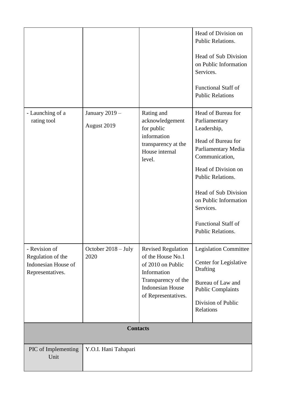|                                                              |                      |                                                                                                                                | Head of Division on<br>Public Relations.                    |
|--------------------------------------------------------------|----------------------|--------------------------------------------------------------------------------------------------------------------------------|-------------------------------------------------------------|
|                                                              |                      |                                                                                                                                | Head of Sub Division<br>on Public Information<br>Services.  |
|                                                              |                      |                                                                                                                                | <b>Functional Staff of</b><br><b>Public Relations</b>       |
| - Launching of a                                             | January 2019 -       | Rating and                                                                                                                     | Head of Bureau for                                          |
| rating tool                                                  | August 2019          | acknowledgement<br>for public                                                                                                  | Parliamentary<br>Leadership,                                |
|                                                              |                      | information<br>transparency at the<br>House internal<br>level.                                                                 | Head of Bureau for<br>Parliamentary Media<br>Communication, |
|                                                              |                      |                                                                                                                                | Head of Division on<br>Public Relations.                    |
|                                                              |                      |                                                                                                                                | Head of Sub Division<br>on Public Information<br>Services.  |
|                                                              |                      |                                                                                                                                | <b>Functional Staff of</b><br>Public Relations.             |
| - Revision of                                                | October 2018 - July  | <b>Revised Regulation</b>                                                                                                      | <b>Legislation Committee</b>                                |
| Regulation of the<br>Indonesian House of<br>Representatives. | 2020                 | of the House No.1<br>of 2010 on Public<br>Information<br>Transparency of the<br><b>Indonesian House</b><br>of Representatives. | Center for Legislative<br>Drafting                          |
|                                                              |                      |                                                                                                                                | Bureau of Law and<br><b>Public Complaints</b>               |
|                                                              |                      |                                                                                                                                | Division of Public<br>Relations                             |
|                                                              | <b>Contacts</b>      |                                                                                                                                |                                                             |
|                                                              |                      |                                                                                                                                |                                                             |
| PIC of Implementing<br>Unit                                  | Y.O.I. Hani Tahapari |                                                                                                                                |                                                             |
|                                                              |                      |                                                                                                                                |                                                             |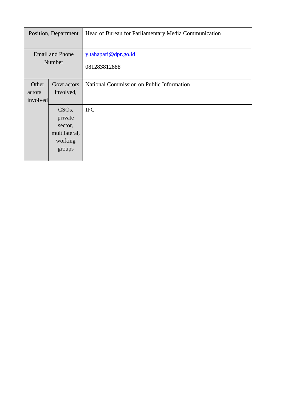|                                  | Position, Department                                                           | Head of Bureau for Parliamentary Media Communication |
|----------------------------------|--------------------------------------------------------------------------------|------------------------------------------------------|
| <b>Email and Phone</b><br>Number |                                                                                | y.tahapari@dpr.go.id<br>081283812888                 |
| Other<br>actors<br>involved      | Govt actors<br>involved,                                                       | National Commission on Public Information            |
|                                  | CSO <sub>s</sub> ,<br>private<br>sector,<br>multilateral,<br>working<br>groups | <b>IPC</b>                                           |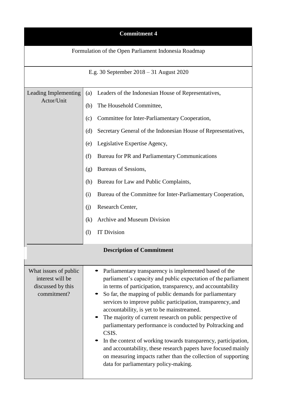| <b>Commitment 4</b>                                                           |                                                                                                                                                                                                                                                                                                                                                                                                                                                                                                                                                                                                                                                                                                                                                 |  |  |
|-------------------------------------------------------------------------------|-------------------------------------------------------------------------------------------------------------------------------------------------------------------------------------------------------------------------------------------------------------------------------------------------------------------------------------------------------------------------------------------------------------------------------------------------------------------------------------------------------------------------------------------------------------------------------------------------------------------------------------------------------------------------------------------------------------------------------------------------|--|--|
|                                                                               | Formulation of the Open Parliament Indonesia Roadmap                                                                                                                                                                                                                                                                                                                                                                                                                                                                                                                                                                                                                                                                                            |  |  |
|                                                                               | E.g. 30 September $2018 - 31$ August 2020                                                                                                                                                                                                                                                                                                                                                                                                                                                                                                                                                                                                                                                                                                       |  |  |
| Leading Implementing<br>Actor/Unit                                            | Leaders of the Indonesian House of Representatives,<br>(a)<br>The Household Committee,<br>(b)<br>Committee for Inter-Parliamentary Cooperation,<br>(c)<br>Secretary General of the Indonesian House of Representatives,<br>(d)<br>Legislative Expertise Agency,<br>(e)<br>Bureau for PR and Parliamentary Communications<br>(f)<br>Bureaus of Sessions,<br>(g)<br>Bureau for Law and Public Complaints,<br>(h)<br>Bureau of the Committee for Inter-Parliamentary Cooperation,<br>(i)<br>Research Center,<br>(i)<br>Archive and Museum Division<br>(k)<br><b>IT Division</b><br>$\left( \mathrm{l}\right)$                                                                                                                                      |  |  |
|                                                                               | <b>Description of Commitment</b>                                                                                                                                                                                                                                                                                                                                                                                                                                                                                                                                                                                                                                                                                                                |  |  |
| What issues of public<br>interest will be<br>discussed by this<br>commitment? | Parliamentary transparency is implemented based of the<br>parliament's capacity and public expectation of the parliament<br>in terms of participation, transparency, and accountability<br>So far, the mapping of public demands for parliamentary<br>services to improve public participation, transparency, and<br>accountability, is yet to be mainstreamed.<br>The majority of current research on public perspective of<br>parliamentary performance is conducted by Poltracking and<br>CSIS.<br>In the context of working towards transparency, participation,<br>and accountability, these research papers have focused mainly<br>on measuring impacts rather than the collection of supporting<br>data for parliamentary policy-making. |  |  |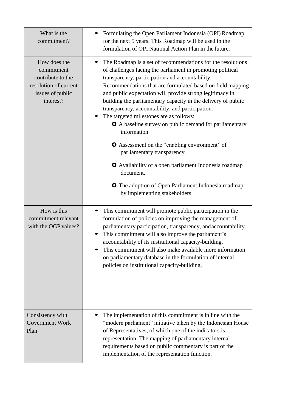| What is the<br>commitment?                                                                                | Formulating the Open Parliament Indonesia (OPI) Roadmap<br>for the next 5 years. This Roadmap will be used in the<br>formulation of OPI National Action Plan in the future.                                                                                                                                                                                                                                                                                                                                                                                                                                                                                                                                                                                                                                               |  |  |
|-----------------------------------------------------------------------------------------------------------|---------------------------------------------------------------------------------------------------------------------------------------------------------------------------------------------------------------------------------------------------------------------------------------------------------------------------------------------------------------------------------------------------------------------------------------------------------------------------------------------------------------------------------------------------------------------------------------------------------------------------------------------------------------------------------------------------------------------------------------------------------------------------------------------------------------------------|--|--|
| How does the<br>commitment<br>contribute to the<br>resolution of current<br>issues of public<br>interest? | The Roadmap is a set of recommendations for the resolutions<br>of challenges facing the parliament in promoting political<br>transparency, participation and accountability.<br>Recommendations that are formulated based on field mapping<br>and public expectation will provide strong legitimacy in<br>building the parliamentary capacity in the delivery of public<br>transparency, accountability, and participation.<br>The targeted milestones are as follows:<br><b>O</b> A baseline survey on public demand for parliamentary<br>information<br><b>O</b> Assessment on the "enabling environment" of<br>parliamentary transparency.<br><b>O</b> Availability of a open parliament Indonesia roadmap<br>document.<br><b>O</b> The adoption of Open Parliament Indonesia roadmap<br>by implementing stakeholders. |  |  |
| How is this<br>commitment relevant<br>with the OGP values?                                                | This commitment will promote public participation in the<br>formulation of policies on improving the management of<br>parliamentary participation, transparency, and accountability.<br>This commitment will also improve the parliament's<br>accountability of its institutional capacity-building.<br>This commitment will also make available more information<br>on parliamentary database in the formulation of internal<br>policies on institutional capacity-building.                                                                                                                                                                                                                                                                                                                                             |  |  |
| Consistency with<br>Government Work<br>Plan                                                               | The implementation of this commitment is in line with the<br>"modern parliament" initiative taken by the Indonesian House<br>of Representatives, of which one of the indicators is<br>representation. The mapping of parliamentary internal<br>requirements based on public commentary is part of the<br>implementation of the representation function.                                                                                                                                                                                                                                                                                                                                                                                                                                                                   |  |  |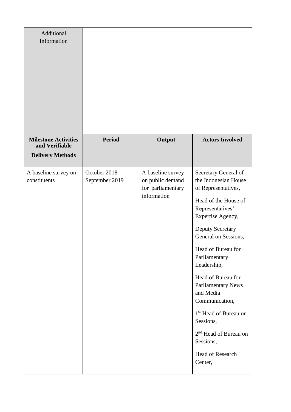| Additional<br>Information                     |                                 |                                                                           |                                                                                                                                                                                                                                                                                                                                                                                                                                                                    |
|-----------------------------------------------|---------------------------------|---------------------------------------------------------------------------|--------------------------------------------------------------------------------------------------------------------------------------------------------------------------------------------------------------------------------------------------------------------------------------------------------------------------------------------------------------------------------------------------------------------------------------------------------------------|
| <b>Milestone Activities</b><br>and Verifiable | <b>Period</b>                   | Output                                                                    | <b>Actors Involved</b>                                                                                                                                                                                                                                                                                                                                                                                                                                             |
| <b>Delivery Methods</b>                       |                                 |                                                                           |                                                                                                                                                                                                                                                                                                                                                                                                                                                                    |
| A baseline survey on<br>constituents          | October 2018-<br>September 2019 | A baseline survey<br>on public demand<br>for parliamentary<br>information | Secretary General of<br>the Indonesian House<br>of Representatives,<br>Head of the House of<br>Representatives'<br>Expertise Agency,<br><b>Deputy Secretary</b><br>General on Sessions,<br>Head of Bureau for<br>Parliamentary<br>Leadership,<br>Head of Bureau for<br><b>Parliamentary News</b><br>and Media<br>Communication,<br>1 <sup>st</sup> Head of Bureau on<br>Sessions,<br>2 <sup>nd</sup> Head of Bureau on<br>Sessions,<br>Head of Research<br>Center, |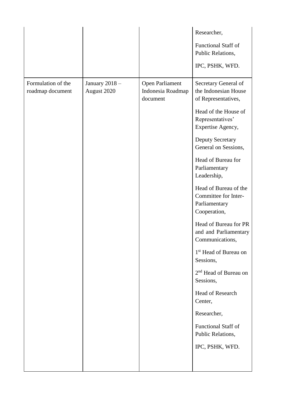|                                        |                              |                                                         | Researcher,<br><b>Functional Staff of</b><br>Public Relations,<br>IPC, PSHK, WFD.                                                                                                                                                                                                                                                                                                                                                                                                    |
|----------------------------------------|------------------------------|---------------------------------------------------------|--------------------------------------------------------------------------------------------------------------------------------------------------------------------------------------------------------------------------------------------------------------------------------------------------------------------------------------------------------------------------------------------------------------------------------------------------------------------------------------|
| Formulation of the<br>roadmap document | January 2018-<br>August 2020 | <b>Open Parliament</b><br>Indonesia Roadmap<br>document | Secretary General of<br>the Indonesian House<br>of Representatives,<br>Head of the House of<br>Representatives'<br>Expertise Agency,<br>Deputy Secretary<br>General on Sessions,<br>Head of Bureau for<br>Parliamentary<br>Leadership,<br>Head of Bureau of the<br>Committee for Inter-<br>Parliamentary<br>Cooperation,<br>Head of Bureau for PR<br>and and Parliamentary<br>Communications,<br>1 <sup>st</sup> Head of Bureau on<br>Sessions,<br>2 <sup>nd</sup> Head of Bureau on |
|                                        |                              |                                                         | Sessions,<br>Head of Research<br>Center,<br>Researcher,<br><b>Functional Staff of</b><br>Public Relations,<br>IPC, PSHK, WFD.                                                                                                                                                                                                                                                                                                                                                        |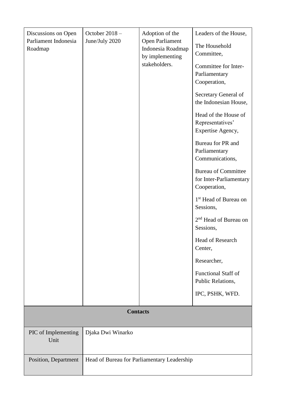| Discussions on Open<br>Parliament Indonesia<br>Roadmap | October 2018-<br>June/July 2020             | Adoption of the<br>Open Parliament<br>Indonesia Roadmap<br>by implementing<br>stakeholders. | Leaders of the House,<br>The Household<br>Committee,<br>Committee for Inter-<br>Parliamentary<br>Cooperation,<br>Secretary General of<br>the Indonesian House,<br>Head of the House of<br>Representatives'<br>Expertise Agency,<br>Bureau for PR and<br>Parliamentary<br>Communications,<br><b>Bureau of Committee</b><br>for Inter-Parliamentary<br>Cooperation,<br>1 <sup>st</sup> Head of Bureau on<br>Sessions,<br>2 <sup>nd</sup> Head of Bureau on<br>Sessions,<br>Head of Research<br>Center,<br>Researcher,<br><b>Functional Staff of</b><br>Public Relations,<br>IPC, PSHK, WFD. |
|--------------------------------------------------------|---------------------------------------------|---------------------------------------------------------------------------------------------|-------------------------------------------------------------------------------------------------------------------------------------------------------------------------------------------------------------------------------------------------------------------------------------------------------------------------------------------------------------------------------------------------------------------------------------------------------------------------------------------------------------------------------------------------------------------------------------------|
|                                                        | <b>Contacts</b>                             |                                                                                             |                                                                                                                                                                                                                                                                                                                                                                                                                                                                                                                                                                                           |
|                                                        |                                             |                                                                                             |                                                                                                                                                                                                                                                                                                                                                                                                                                                                                                                                                                                           |
| PIC of Implementing<br>Unit                            | Djaka Dwi Winarko                           |                                                                                             |                                                                                                                                                                                                                                                                                                                                                                                                                                                                                                                                                                                           |
| Position, Department                                   | Head of Bureau for Parliamentary Leadership |                                                                                             |                                                                                                                                                                                                                                                                                                                                                                                                                                                                                                                                                                                           |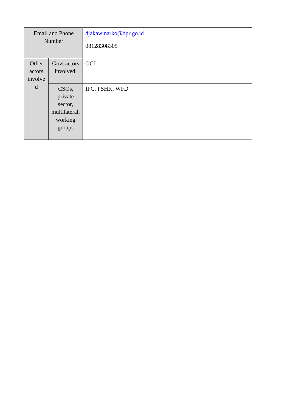| <b>Email and Phone</b><br>Number |                    | djakawinarko@dpr.go.id<br>08128308305 |
|----------------------------------|--------------------|---------------------------------------|
| Other                            | Govt actors        | OGI                                   |
| actors<br>involve                | involved,          |                                       |
| d                                | CSO <sub>s</sub> , | IPC, PSHK, WFD                        |
|                                  | private<br>sector, |                                       |
|                                  | multilateral,      |                                       |
|                                  | working            |                                       |
|                                  | groups             |                                       |
|                                  |                    |                                       |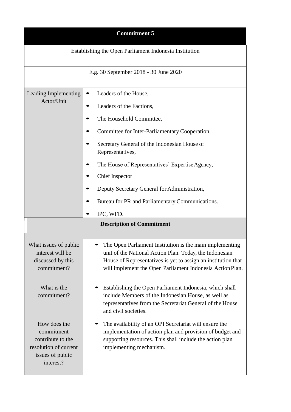| <b>Commitment 5</b>                                                                                       |                                                                                                                                                                                                                                                                                                                                                                                                                                      |  |  |
|-----------------------------------------------------------------------------------------------------------|--------------------------------------------------------------------------------------------------------------------------------------------------------------------------------------------------------------------------------------------------------------------------------------------------------------------------------------------------------------------------------------------------------------------------------------|--|--|
| Establishing the Open Parliament Indonesia Institution                                                    |                                                                                                                                                                                                                                                                                                                                                                                                                                      |  |  |
|                                                                                                           | E.g. 30 September 2018 - 30 June 2020                                                                                                                                                                                                                                                                                                                                                                                                |  |  |
| Leading Implementing<br>Actor/Unit                                                                        | Leaders of the House,<br>Leaders of the Factions,<br>The Household Committee,<br>Committee for Inter-Parliamentary Cooperation,<br>Secretary General of the Indonesian House of<br>Representatives,<br>The House of Representatives' Expertise Agency,<br><b>Chief Inspector</b><br>Deputy Secretary General for Administration,<br>Bureau for PR and Parliamentary Communications.<br>IPC, WFD.<br><b>Description of Commitment</b> |  |  |
| What issues of public<br>interest will be<br>discussed by this<br>commitment?                             | The Open Parliament Institution is the main implementing<br>unit of the National Action Plan. Today, the Indonesian<br>House of Representatives is yet to assign an institution that<br>will implement the Open Parliament Indonesia Action Plan.                                                                                                                                                                                    |  |  |
| What is the<br>commitment?                                                                                | Establishing the Open Parliament Indonesia, which shall<br>include Members of the Indonesian House, as well as<br>representatives from the Secretariat General of the House<br>and civil societies.                                                                                                                                                                                                                                  |  |  |
| How does the<br>commitment<br>contribute to the<br>resolution of current<br>issues of public<br>interest? | The availability of an OPI Secretariat will ensure the<br>implementation of action plan and provision of budget and<br>supporting resources. This shall include the action plan<br>implementing mechanism.                                                                                                                                                                                                                           |  |  |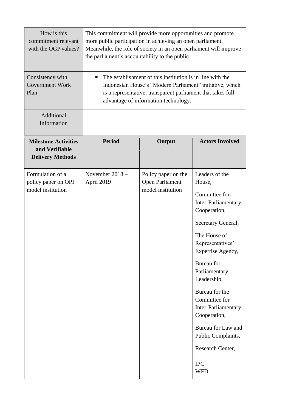| How is this<br>commitment relevant<br>with the OGP values?               | This commitment will provide more opportunities and promote<br>more public participation in achieving an open parliament.<br>Meanwhile, the role of society in an open parliament will improve<br>the parliament's accountability to the public. |                                                                    |                                                                                                                                                                                                                                                                                                                                                                               |
|--------------------------------------------------------------------------|--------------------------------------------------------------------------------------------------------------------------------------------------------------------------------------------------------------------------------------------------|--------------------------------------------------------------------|-------------------------------------------------------------------------------------------------------------------------------------------------------------------------------------------------------------------------------------------------------------------------------------------------------------------------------------------------------------------------------|
| Consistency with<br><b>Government Work</b><br>Plan                       | The establishment of this institution is in line with the<br>Indonesian House's "Modern Parliament" initiative, which<br>is a representative, transparent parliament that takes full<br>advantage of information technology.                     |                                                                    |                                                                                                                                                                                                                                                                                                                                                                               |
| Additional<br>Information                                                |                                                                                                                                                                                                                                                  |                                                                    |                                                                                                                                                                                                                                                                                                                                                                               |
| <b>Milestone Activities</b><br>and Verifiable<br><b>Delivery Methods</b> | <b>Period</b>                                                                                                                                                                                                                                    | Output                                                             | <b>Actors Involved</b>                                                                                                                                                                                                                                                                                                                                                        |
| Formulation of a<br>policy paper on OPI<br>model institution             | November 2018-<br>April 2019                                                                                                                                                                                                                     | Policy paper on the<br><b>Open Parliament</b><br>model institution | Leaders of the<br>House,<br>Committee for<br>Inter-Parliamentary<br>Cooperation,<br>Secretary General,<br>The House of<br>Representatives'<br>Expertise Agency,<br>Bureau for<br>Parliamentary<br>Leadership,<br>Bureau for the<br>Committee for<br>Inter-Parliamentary<br>Cooperation,<br>Bureau for Law and<br>Public Complaints,<br>Research Center,<br><b>IPC</b><br>WFD. |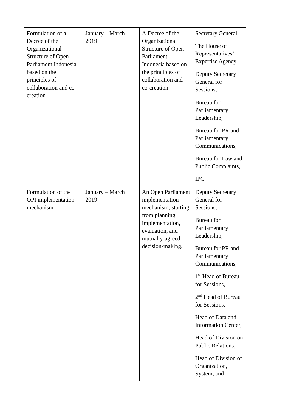| Formulation of a<br>Decree of the<br>Organizational<br><b>Structure of Open</b><br>Parliament Indonesia<br>based on the<br>principles of<br>collaboration and co-<br>creation | January - March<br>2019 | A Decree of the<br>Organizational<br><b>Structure of Open</b><br>Parliament<br>Indonesia based on<br>the principles of<br>collaboration and<br>co-creation | Secretary General,<br>The House of<br>Representatives'<br>Expertise Agency,<br><b>Deputy Secretary</b><br>General for<br>Sessions,<br>Bureau for<br>Parliamentary<br>Leadership,<br>Bureau for PR and<br>Parliamentary<br>Communications,<br>Bureau for Law and<br>Public Complaints,<br>IPC.                                                                                                                         |
|-------------------------------------------------------------------------------------------------------------------------------------------------------------------------------|-------------------------|------------------------------------------------------------------------------------------------------------------------------------------------------------|-----------------------------------------------------------------------------------------------------------------------------------------------------------------------------------------------------------------------------------------------------------------------------------------------------------------------------------------------------------------------------------------------------------------------|
| Formulation of the<br><b>OPI</b> implementation<br>mechanism                                                                                                                  | January - March<br>2019 | An Open Parliament<br>implementation<br>mechanism, starting<br>from planning,<br>implementation,<br>evaluation, and<br>mutually-agreed<br>decision-making. | <b>Deputy Secretary</b><br>General for<br>Sessions,<br>Bureau for<br>Parliamentary<br>Leadership,<br>Bureau for PR and<br>Parliamentary<br>Communications,<br>1 <sup>st</sup> Head of Bureau<br>for Sessions,<br>2 <sup>nd</sup> Head of Bureau<br>for Sessions,<br>Head of Data and<br><b>Information Center,</b><br>Head of Division on<br>Public Relations,<br>Head of Division of<br>Organization,<br>System, and |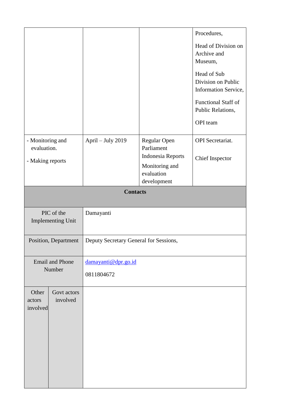|                                                     |                                                                |                                   |                                                                                                       | Procedures,<br>Head of Division on<br>Archive and<br>Museum,<br>Head of Sub<br>Division on Public<br>Information Service,<br><b>Functional Staff of</b><br>Public Relations,<br>OPI team |  |
|-----------------------------------------------------|----------------------------------------------------------------|-----------------------------------|-------------------------------------------------------------------------------------------------------|------------------------------------------------------------------------------------------------------------------------------------------------------------------------------------------|--|
| - Monitoring and<br>evaluation.<br>- Making reports |                                                                | April - July 2019                 | Regular Open<br>Parliament<br><b>Indonesia Reports</b><br>Monitoring and<br>evaluation<br>development | <b>OPI</b> Secretariat.<br>Chief Inspector                                                                                                                                               |  |
| <b>Contacts</b>                                     |                                                                |                                   |                                                                                                       |                                                                                                                                                                                          |  |
|                                                     | PIC of the<br>Damayanti<br><b>Implementing Unit</b>            |                                   |                                                                                                       |                                                                                                                                                                                          |  |
|                                                     | Deputy Secretary General for Sessions,<br>Position, Department |                                   |                                                                                                       |                                                                                                                                                                                          |  |
| <b>Email and Phone</b><br>Number                    |                                                                | damayanti@dpr.go.id<br>0811804672 |                                                                                                       |                                                                                                                                                                                          |  |
| Other<br>actors<br>involved                         | Govt actors<br>involved                                        |                                   |                                                                                                       |                                                                                                                                                                                          |  |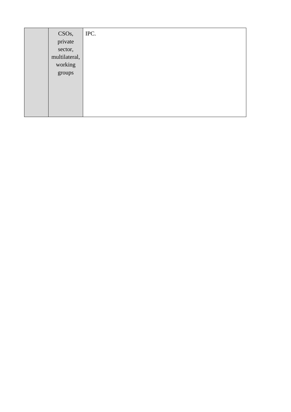| CSO <sub>s</sub> , | IPC. |
|--------------------|------|
| private            |      |
| sector,            |      |
| multilateral,      |      |
| working            |      |
| groups             |      |
|                    |      |
|                    |      |
|                    |      |
|                    |      |
|                    |      |